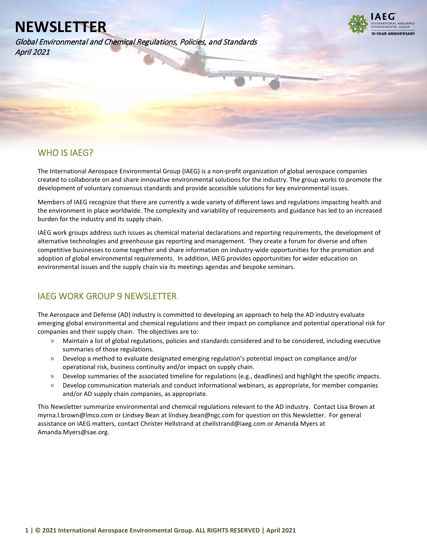Global Environmental and Chemical Regulations, Policies, and Standards April 2021



# WHO IS IAEG?

l

The International Aerospace Environmental Group (IAEG) is a non-profit organization of global aerospace companies created to collaborate on and share innovative environmental solutions for the industry. The group works to promote the development of voluntary consensus standards and provide accessible solutions for key environmental issues.

Members of IAEG recognize that there are currently a wide variety of different laws and regulations impacting health and the environment in place worldwide. The complexity and variability of requirements and guidance has led to an increased burden for the industry and its supply chain.

IAEG work groups address such issues as chemical material declarations and reporting requirements, the development of alternative technologies and greenhouse gas reporting and management. They create a forum for diverse and often competitive businesses to come together and share information on industry-wide opportunities for the promotion and adoption of global environmental requirements. In addition, IAEG provides opportunities for wider education on environmental issues and the supply chain via its meetings agendas and bespoke seminars.

# IAEG WORK GROUP 9 NEWSLETTER

The Aerospace and Defense (AD) industry is committed to developing an approach to help the AD industry evaluate emerging global environmental and chemical regulations and their impact on compliance and potential operational risk for companies and their supply chain. The objectives are to:

- **»** Maintain a list of global regulations, policies and standards considered and to be considered, including executive summaries of those regulations.
- **»** Develop a method to evaluate designated emerging regulation's potential impact on compliance and/or operational risk, business continuity and/or impact on supply chain.
- **»** Develop summaries of the associated timeline for regulations (e.g., deadlines) and highlight the specific impacts.
- **»** Develop communication materials and conduct informational webinars, as appropriate, for member companies and/or AD supply chain companies, as appropriate.

This Newsletter summarize environmental and chemical regulations relevant to the AD industry. Contact Lisa Brown at myrna.l.brown@lmco.com or Lindsey Bean at lindsey.bean@ngc.com for question on this Newsletter. For general assistance on IAEG matters, contact Christer Hellstrand at chellstrand@iaeg.com or Amanda Myers at Amanda.Myers@sae.org.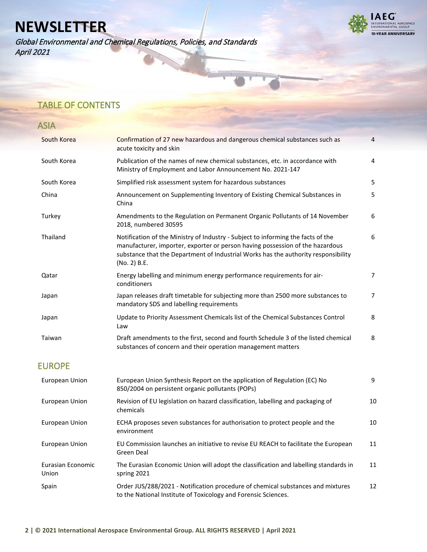Global Environmental and Chemical Regulations, Policies, and Standards April 2021



# TABLE OF CONTENTS

| <b>ASIA</b>                       |                                                                                                                                                                                                                                                                         |                |
|-----------------------------------|-------------------------------------------------------------------------------------------------------------------------------------------------------------------------------------------------------------------------------------------------------------------------|----------------|
| South Korea                       | Confirmation of 27 new hazardous and dangerous chemical substances such as<br>acute toxicity and skin                                                                                                                                                                   | 4              |
| South Korea                       | Publication of the names of new chemical substances, etc. in accordance with<br>Ministry of Employment and Labor Announcement No. 2021-147                                                                                                                              | 4              |
| South Korea                       | Simplified risk assessment system for hazardous substances                                                                                                                                                                                                              | 5              |
| China                             | Announcement on Supplementing Inventory of Existing Chemical Substances in<br>China                                                                                                                                                                                     | 5              |
| Turkey                            | Amendments to the Regulation on Permanent Organic Pollutants of 14 November<br>2018, numbered 30595                                                                                                                                                                     | 6              |
| Thailand                          | Notification of the Ministry of Industry - Subject to informing the facts of the<br>manufacturer, importer, exporter or person having possession of the hazardous<br>substance that the Department of Industrial Works has the authority responsibility<br>(No. 2) B.E. | 6              |
| Qatar                             | Energy labelling and minimum energy performance requirements for air-<br>conditioners                                                                                                                                                                                   | $\overline{7}$ |
| Japan                             | Japan releases draft timetable for subjecting more than 2500 more substances to<br>mandatory SDS and labelling requirements                                                                                                                                             | 7              |
| Japan                             | Update to Priority Assessment Chemicals list of the Chemical Substances Control<br>Law                                                                                                                                                                                  | 8              |
| Taiwan                            | Draft amendments to the first, second and fourth Schedule 3 of the listed chemical<br>substances of concern and their operation management matters                                                                                                                      | 8              |
| <b>EUROPE</b>                     |                                                                                                                                                                                                                                                                         |                |
| European Union                    | European Union Synthesis Report on the application of Regulation (EC) No<br>850/2004 on persistent organic pollutants (POPs)                                                                                                                                            | 9              |
| European Union                    | Revision of EU legislation on hazard classification, labelling and packaging of<br>chemicals                                                                                                                                                                            | 10             |
| European Union                    | ECHA proposes seven substances for authorisation to protect people and the<br>environment                                                                                                                                                                               | 10             |
| European Union                    | EU Commission launches an initiative to revise EU REACH to facilitate the European<br>Green Deal                                                                                                                                                                        | 11             |
| <b>Eurasian Economic</b><br>Union | The Eurasian Economic Union will adopt the classification and labelling standards in<br>spring 2021                                                                                                                                                                     | 11             |
| Spain                             | Order JUS/288/2021 - Notification procedure of chemical substances and mixtures                                                                                                                                                                                         | 12             |

to the National Institute of Toxicology and Forensic Sciences.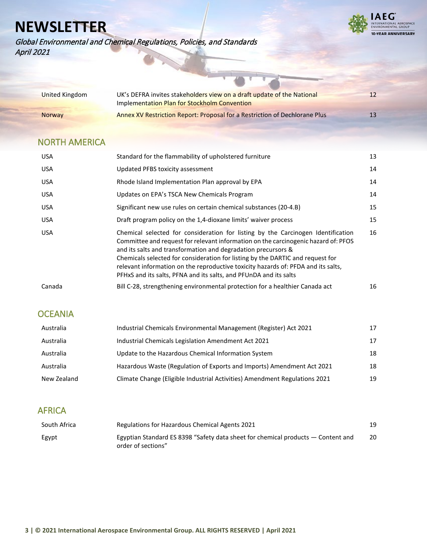

Global Environmental and Chemical Regulations, Policies, and Standards April 2021

| United Kingdom | UK's DEFRA invites stakeholders view on a draft update of the National     | 12 |
|----------------|----------------------------------------------------------------------------|----|
|                | Implementation Plan for Stockholm Convention                               |    |
| <b>Norway</b>  | Annex XV Restriction Report: Proposal for a Restriction of Dechlorane Plus | 13 |

 $\overline{a}$ 

# NORTH AMERICA

| USA        | Standard for the flammability of upholstered furniture                                                                                                                                                                                                                                                                                                                                                                                                                              | 13 |
|------------|-------------------------------------------------------------------------------------------------------------------------------------------------------------------------------------------------------------------------------------------------------------------------------------------------------------------------------------------------------------------------------------------------------------------------------------------------------------------------------------|----|
| <b>USA</b> | Updated PFBS toxicity assessment                                                                                                                                                                                                                                                                                                                                                                                                                                                    | 14 |
| <b>USA</b> | Rhode Island Implementation Plan approval by EPA                                                                                                                                                                                                                                                                                                                                                                                                                                    | 14 |
| <b>USA</b> | Updates on EPA's TSCA New Chemicals Program                                                                                                                                                                                                                                                                                                                                                                                                                                         | 14 |
| <b>USA</b> | Significant new use rules on certain chemical substances (20-4.B)                                                                                                                                                                                                                                                                                                                                                                                                                   | 15 |
| USA        | Draft program policy on the 1,4-dioxane limits' waiver process                                                                                                                                                                                                                                                                                                                                                                                                                      | 15 |
| <b>USA</b> | Chemical selected for consideration for listing by the Carcinogen Identification<br>Committee and request for relevant information on the carcinogenic hazard of: PFOS<br>and its salts and transformation and degradation precursors &<br>Chemicals selected for consideration for listing by the DARTIC and request for<br>relevant information on the reproductive toxicity hazards of: PFDA and its salts,<br>PFHxS and its salts, PFNA and its salts, and PFUnDA and its salts | 16 |
| Canada     | Bill C-28, strengthening environmental protection for a healthier Canada act                                                                                                                                                                                                                                                                                                                                                                                                        | 16 |

# **OCEANIA**

| Australia   | Industrial Chemicals Environmental Management (Register) Act 2021          | 17 |
|-------------|----------------------------------------------------------------------------|----|
| Australia   | Industrial Chemicals Legislation Amendment Act 2021                        | 17 |
| Australia   | Update to the Hazardous Chemical Information System                        | 18 |
| Australia   | Hazardous Waste (Regulation of Exports and Imports) Amendment Act 2021     | 18 |
| New Zealand | Climate Change (Eligible Industrial Activities) Amendment Regulations 2021 | 19 |

# AFRICA

| South Africa | Regulations for Hazardous Chemical Agents 2021                                                           | 19 |
|--------------|----------------------------------------------------------------------------------------------------------|----|
| Egypt        | Egyptian Standard ES 8398 "Safety data sheet for chemical products $-$ Content and<br>order of sections" | 20 |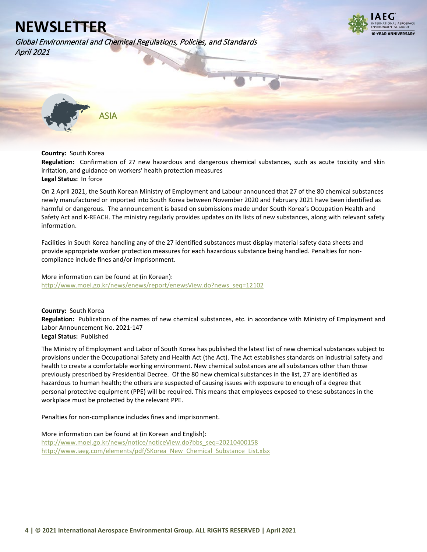



ASIA

**Country:** South Korea

<span id="page-3-0"></span>**Regulation:** Confirmation of 27 new hazardous and dangerous chemical substances, such as acute toxicity and skin irritation, and guidance on workers' health protection measures

**Legal Status:** In force

On 2 April 2021, the South Korean Ministry of Employment and Labour announced that 27 of the 80 chemical substances newly manufactured or imported into South Korea between November 2020 and February 2021 have been identified as harmful or dangerous. The announcement is based on submissions made under South Korea's Occupation Health and Safety Act and K-REACH. The ministry regularly provides updates on its lists of new substances, along with relevant safety information.

Facilities in South Korea handling any of the 27 identified substances must display material safety data sheets and provide appropriate worker protection measures for each hazardous substance being handled. Penalties for noncompliance include fines and/or imprisonment.

More information can be found at (in Korean): [http://www.moel.go.kr/news/enews/report/enewsView.do?news\\_seq=12102](http://www.moel.go.kr/news/enews/report/enewsView.do?news_seq=12102)

<span id="page-3-1"></span>**Country:** South Korea **Regulation:** Publication of the names of new chemical substances, etc. in accordance with Ministry of Employment and Labor Announcement No. 2021-147 **Legal Status:** Published

The Ministry of Employment and Labor of South Korea has published the latest list of new chemical substances subject to provisions under the Occupational Safety and Health Act (the Act). The Act establishes standards on industrial safety and health to create a comfortable working environment. New chemical substances are all substances other than those previously prescribed by Presidential Decree. Of the 80 new chemical substances in the list, 27 are identified as hazardous to human health; the others are suspected of causing issues with exposure to enough of a degree that personal protective equipment (PPE) will be required. This means that employees exposed to these substances in the workplace must be protected by the relevant PPE.

Penalties for non-compliance includes fines and imprisonment.

More information can be found at (in Korean and English):

[http://www.moel.go.kr/news/notice/noticeView.do?bbs\\_seq=20210400158](http://www.moel.go.kr/news/notice/noticeView.do?bbs_seq=20210400158) [http://www.iaeg.com/elements/pdf/SKorea\\_New\\_Chemical\\_Substance\\_List.xlsx](https://protect-us.mimecast.com/s/z5JzCYEr6GsDO5DDCZd4fa?domain=iaeg.com)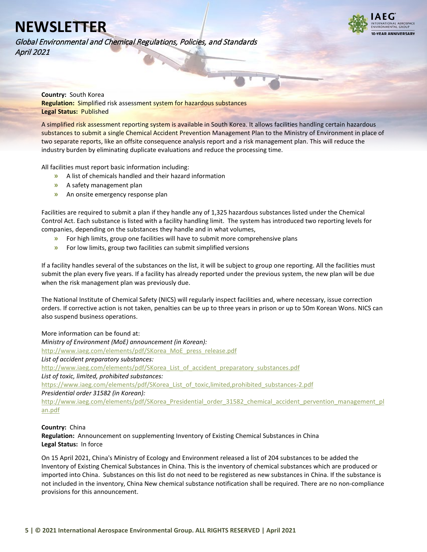

Global Environmental and Chemical Regulations, Policies, and Standards April 2021

> <span id="page-4-0"></span>**Country:** South Korea **Regulation:** Simplified risk assessment system for hazardous substances **Legal Status:** Published

A simplified risk assessment reporting system is available in South Korea. It allows facilities handling certain hazardous substances to submit a single Chemical Accident Prevention Management Plan to the Ministry of Environment in place of two separate reports, like an offsite consequence analysis report and a risk management plan. This will reduce the industry burden by eliminating duplicate evaluations and reduce the processing time.

All facilities must report basic information including:

- **»** A list of chemicals handled and their hazard information
- **»** A safety management plan
- **»** An onsite emergency response plan

Facilities are required to submit a plan if they handle any of 1,325 hazardous substances listed under the Chemical Control Act. Each substance is listed with a facility handling limit. The system has introduced two reporting levels for companies, depending on the substances they handle and in what volumes,

- **»** For high limits, group one facilities will have to submit more comprehensive plans
- **»** For low limits, group two facilities can submit simplified versions

If a facility handles several of the substances on the list, it will be subject to group one reporting. All the facilities must submit the plan every five years. If a facility has already reported under the previous system, the new plan will be due when the risk management plan was previously due.

The National Institute of Chemical Safety (NICS) will regularly inspect facilities and, where necessary, issue correction orders. If corrective action is not taken, penalties can be up to three years in prison or up to 50m Korean Wons. NICS can also suspend business operations.

### More information can be found at:

*Ministry of Environment (MoE) announcement (in Korean):*  [http://www.iaeg.com/elements/pdf/SKorea\\_MoE\\_press\\_release.pdf](https://protect-us.mimecast.com/s/erJiCXDq6EU40m44HmK8JW?domain=iaeg.com) *List of accident preparatory substances:* [http://www.iaeg.com/elements/pdf/SKorea\\_List\\_of\\_accident\\_preparatory\\_substances.pdf](https://protect-us.mimecast.com/s/v1pTCQWj1wcXr7XXhx1pHz?domain=iaeg.com) *List of toxic, limited, prohibited substances:* [https://www.iaeg.com/elements/pdf/SKorea\\_List\\_of\\_toxic,limited,prohibited\\_substances-2.pdf](https://protect-us.mimecast.com/s/Zki_CVOomBi29M22syYwwU?domain=iaeg.com) *Presidential order 31582 (in Korean):* [http://www.iaeg.com/elements/pdf/SKorea\\_Presidential\\_order\\_31582\\_chemical\\_accident\\_pervention\\_management\\_pl](https://protect-us.mimecast.com/s/EttPCR6kgxfGBNGGCN4QYe?domain=iaeg.com) [an.pdf](https://protect-us.mimecast.com/s/EttPCR6kgxfGBNGGCN4QYe?domain=iaeg.com)

### **Country:** China

<span id="page-4-1"></span>**Regulation:** Announcement on supplementing Inventory of Existing Chemical Substances in China **Legal Status:** In force

On 15 April 2021, China's Ministry of Ecology and Environment released a list of 204 substances to be added the Inventory of Existing Chemical Substances in China. This is the inventory of chemical substances which are produced or imported into China. Substances on this list do not need to be registered as new substances in China. If the substance is not included in the inventory, China New chemical substance notification shall be required. There are no non-compliance provisions for this announcement.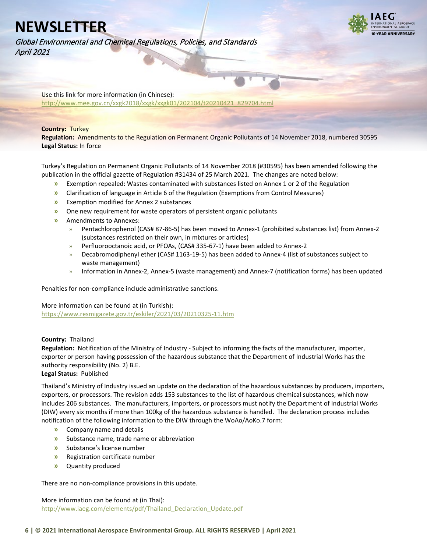

Global Environmental and Chemical Regulations, Policies, and Standards April 2021

> Use this link for more information (in Chinese): [http://www.mee.gov.cn/xxgk2018/xxgk/xxgk01/202104/t20210421\\_829704.html](http://www.mee.gov.cn/xxgk2018/xxgk/xxgk01/202104/t20210421_829704.html)

### **Country:** Turkey

<span id="page-5-0"></span>**Regulation:** Amendments to the Regulation on Permanent Organic Pollutants of 14 November 2018, numbered 30595 **Legal Status:** In force

Turkey's Regulation on Permanent Organic Pollutants of 14 November 2018 (#30595) has been amended following the publication in the official gazette of Regulation #31434 of 25 March 2021. The changes are noted below:

- **»** Exemption repealed: Wastes contaminated with substances listed on Annex 1 or 2 of the Regulation
- **»** Clarification of language in Article 6 of the Regulation (Exemptions from Control Measures)
- **»** Exemption modified for Annex 2 substances
- **»** One new requirement for waste operators of persistent organic pollutants
- **»** Amendments to Annexes:
	- » Pentachlorophenol (CAS# 87-86-5) has been moved to Annex-1 (prohibited substances list) from Annex-2 (substances restricted on their own, in mixtures or articles)
	- » Perfluorooctanoic acid, or PFOAs, (CAS# 335-67-1) have been added to Annex-2
	- » Decabromodiphenyl ether (CAS# 1163-19-5) has been added to Annex-4 (list of substances subject to waste management)
	- » Information in Annex-2, Annex-5 (waste management) and Annex-7 (notification forms) has been updated

Penalties for non-compliance include administrative sanctions.

### More information can be found at (in Turkish):

<https://www.resmigazete.gov.tr/eskiler/2021/03/20210325-11.htm>

## **Country:** Thailand

<span id="page-5-1"></span>**Regulation:** Notification of the Ministry of Industry - Subject to informing the facts of the manufacturer, importer, exporter or person having possession of the hazardous substance that the Department of Industrial Works has the authority responsibility (No. 2) B.E.

## **Legal Status:** Published

Thailand's Ministry of Industry issued an update on the declaration of the hazardous substances by producers, importers, exporters, or processors. The revision adds 153 substances to the list of hazardous chemical substances, which now includes 206 substances. The manufacturers, importers, or processors must notify the Department of Industrial Works (DIW) every six months if more than 100kg of the hazardous substance is handled. The declaration process includes notification of the following information to the DIW through the WoAo/AoKo.7 form:

- **»** Company name and details
- **»** Substance name, trade name or abbreviation
- **»** Substance's license number
- **»** Registration certificate number
- **»** Quantity produced

There are no non-compliance provisions in this update.

More information can be found at (in Thai): http://www.iaeg.com/elements/pdf/Thailand Declaration Update.pdf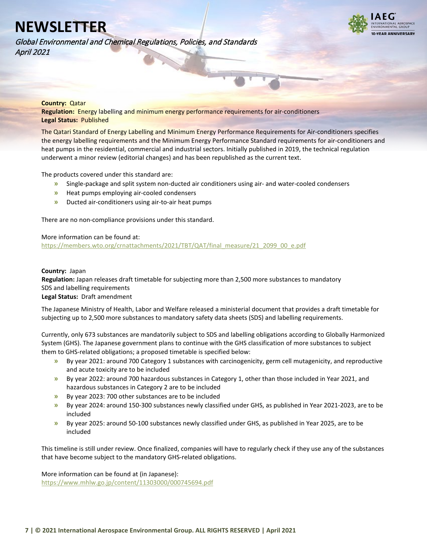**VEAR ANNIVERSARY** 

Global Environmental and Chemical Regulations, Policies, and Standards April 2021

#### **Country:** Qatar

<span id="page-6-0"></span>**Regulation:** Energy labelling and minimum energy performance requirements for air-conditioners **Legal Status:** Published

The Qatari Standard of Energy Labelling and Minimum Energy Performance Requirements for Air-conditioners specifies the energy labelling requirements and the Minimum Energy Performance Standard requirements for air-conditioners and heat pumps in the residential, commercial and industrial sectors. Initially published in 2019, the technical regulation underwent a minor review (editorial changes) and has been republished as the current text.

The products covered under this standard are:

- **»** Single-package and split system non-ducted air conditioners using air- and water-cooled condensers
- **»** Heat pumps employing air-cooled condensers
- **»** Ducted air-conditioners using air-to-air heat pumps

There are no non-compliance provisions under this standard.

### More information can be found at:

[https://members.wto.org/crnattachments/2021/TBT/QAT/final\\_measure/21\\_2099\\_00\\_e.pdf](https://members.wto.org/crnattachments/2021/TBT/QAT/final_measure/21_2099_00_e.pdf)

### **Country:** Japan

<span id="page-6-1"></span>**Regulation:** Japan releases draft timetable for subjecting more than 2,500 more substances to mandatory SDS and labelling requirements

### **Legal Status:** Draft amendment

The Japanese Ministry of Health, Labor and Welfare released a ministerial document that provides a draft timetable for subjecting up to 2,500 more substances to mandatory safety data sheets (SDS) and labelling requirements.

Currently, only 673 substances are mandatorily subject to SDS and labelling obligations according to Globally Harmonized System (GHS). The Japanese government plans to continue with the GHS classification of more substances to subject them to GHS-related obligations; a proposed timetable is specified below:

- **»** By year 2021: around 700 Category 1 substances with carcinogenicity, germ cell mutagenicity, and reproductive and acute toxicity are to be included
- **»** By year 2022: around 700 hazardous substances in Category 1, other than those included in Year 2021, and hazardous substances in Category 2 are to be included
- **»** By year 2023: 700 other substances are to be included
- **»** By year 2024: around 150-300 substances newly classified under GHS, as published in Year 2021-2023, are to be included
- **»** By year 2025: around 50-100 substances newly classified under GHS, as published in Year 2025, are to be included

This timeline is still under review. Once finalized, companies will have to regularly check if they use any of the substances that have become subject to the mandatory GHS-related obligations.

More information can be found at (in Japanese):

<https://www.mhlw.go.jp/content/11303000/000745694.pdf>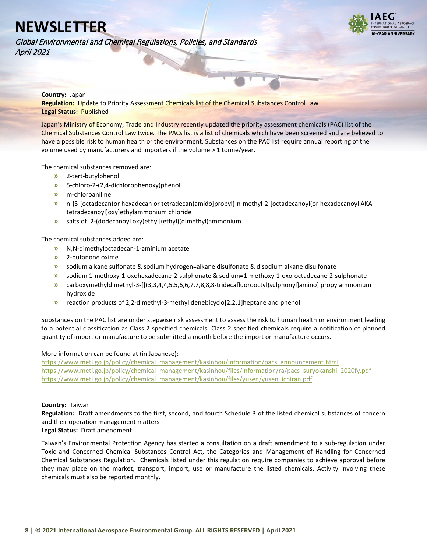

Global Environmental and Chemical Regulations, Policies, and Standards April 2021

## **Country:** Japan

<span id="page-7-0"></span>**Regulation:** Update to Priority Assessment Chemicals list of the Chemical Substances Control Law **Legal Status:** Published

Japan's Ministry of Economy, Trade and Industry recently updated the priority assessment chemicals (PAC) list of the Chemical Substances Control Law twice. The PACs list is a list of chemicals which have been screened and are believed to have a possible risk to human health or the environment. Substances on the PAC list require annual reporting of the volume used by manufacturers and importers if the volume > 1 tonne/year.

The chemical substances removed are:

- **»** 2-tert-butylphenol
- **»** 5-chloro-2-(2,4-dichlorophenoxy)phenol
- **»** m-chloroaniline
- **»** n-{3-[octadecan(or hexadecan or tetradecan)amido]propyl}-n-methyl-2-[octadecanoyl(or hexadecanoyl AKA tetradecanoyl)oxy]ethylammonium chloride
- **»** salts of [2-(dodecanoyl oxy)ethyl](ethyl)(dimethyl)ammonium

The chemical substances added are:

- **»** N,N-dimethyloctadecan-1-aminium acetate
- **»** 2-butanone oxime
- **»** sodium alkane sulfonate & sodium hydrogen=alkane disulfonate & disodium alkane disulfonate
- **»** sodium 1-methoxy-1-oxohexadecane-2-sulphonate & sodium=1-methoxy-1-oxo-octadecane-2-sulphonate
- **»** carboxymethyldimethyl-3-[[(3,3,4,4,5,5,6,6,7,7,8,8,8-tridecafluorooctyl)sulphonyl]amino] propylammonium hydroxide
- **»** reaction products of 2,2-dimethyl-3-methylidenebicyclo[2.2.1]heptane and phenol

Substances on the PAC list are under stepwise risk assessment to assess the risk to human health or environment leading to a potential classification as Class 2 specified chemicals. Class 2 specified chemicals require a notification of planned quantity of import or manufacture to be submitted a month before the import or manufacture occurs.

### More information can be found at (in Japanese):

[https://www.meti.go.jp/policy/chemical\\_management/kasinhou/information/pacs\\_announcement.html](https://www.meti.go.jp/policy/chemical_management/kasinhou/information/pacs_announcement.html) [https://www.meti.go.jp/policy/chemical\\_management/kasinhou/files/information/ra/pacs\\_suryokanshi\\_2020fy.pdf](https://www.meti.go.jp/policy/chemical_management/kasinhou/files/information/ra/pacs_suryokanshi_2020fy.pdf) [https://www.meti.go.jp/policy/chemical\\_management/kasinhou/files/yusen/yusen\\_ichiran.pdf](https://www.meti.go.jp/policy/chemical_management/kasinhou/files/yusen/yusen_ichiran.pdf)

### **Country:** Taiwan

<span id="page-7-1"></span>**Regulation:** Draft amendments to the first, second, and fourth Schedule 3 of the listed chemical substances of concern and their operation management matters

### **Legal Status:** Draft amendment

Taiwan's Environmental Protection Agency has started a consultation on a draft amendment to a sub-regulation under Toxic and Concerned Chemical Substances Control Act, the Categories and Management of Handling for Concerned Chemical Substances Regulation. Chemicals listed under this regulation require companies to achieve approval before they may place on the market, transport, import, use or manufacture the listed chemicals. Activity involving these chemicals must also be reported monthly.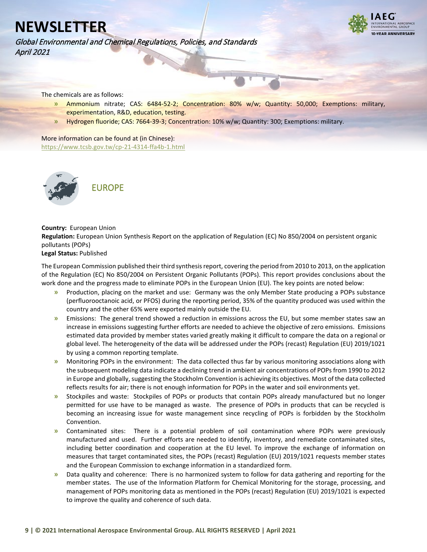Global Environmental and Chemical Regulations, Policies, and Standards April 2021



The chemicals are as follows:

- **»** Ammonium nitrate; CAS: 6484-52-2; Concentration: 80% w/w; Quantity: 50,000; Exemptions: military, experimentation, R&D, education, testing.
- **»** Hydrogen fluoride; CAS: 7664-39-3; Concentration: 10% w/w; Quantity: 300; Exemptions: military.

More information can be found at (in Chinese): <https://www.tcsb.gov.tw/cp-21-4314-ffa4b-1.html>



#### **Country:** European Union

<span id="page-8-0"></span>**Regulation:** European Union Synthesis Report on the application of Regulation (EC) No 850/2004 on persistent organic pollutants (POPs)

### **Legal Status:** Published

The European Commission published their third synthesis report, covering the period from 2010 to 2013, on the application of the Regulation (EC) No 850/2004 on Persistent Organic Pollutants (POPs). This report provides conclusions about the work done and the progress made to eliminate POPs in the European Union (EU). The key points are noted below:

- **»** Production, placing on the market and use: Germany was the only Member State producing a POPs substance (perfluorooctanoic acid, or PFOS) during the reporting period, 35% of the quantity produced was used within the country and the other 65% were exported mainly outside the EU.
- **»** Emissions: The general trend showed a reduction in emissions across the EU, but some member states saw an increase in emissions suggesting further efforts are needed to achieve the objective of zero emissions. Emissions estimated data provided by member states varied greatly making it difficult to compare the data on a regional or global level. The heterogeneity of the data will be addressed under the POPs (recast) Regulation (EU) 2019/1021 by using a common reporting template.
- **»** Monitoring POPs in the environment: The data collected thus far by various monitoring associations along with the subsequent modeling data indicate a declining trend in ambient air concentrations of POPs from 1990 to 2012 in Europe and globally, suggesting the Stockholm Convention is achieving its objectives. Most of the data collected reflects results for air; there is not enough information for POPs in the water and soil environments yet.
- **»** Stockpiles and waste: Stockpiles of POPs or products that contain POPs already manufactured but no longer permitted for use have to be managed as waste. The presence of POPs in products that can be recycled is becoming an increasing issue for waste management since recycling of POPs is forbidden by the Stockholm Convention.
- **»** Contaminated sites: There is a potential problem of soil contamination where POPs were previously manufactured and used. Further efforts are needed to identify, inventory, and remediate contaminated sites, including better coordination and cooperation at the EU level. To improve the exchange of information on measures that target contaminated sites, the POPs (recast) Regulation (EU) 2019/1021 requests member states and the European Commission to exchange information in a standardized form.
- **»** Data quality and coherence: There is no harmonized system to follow for data gathering and reporting for the member states. The use of the Information Platform for Chemical Monitoring for the storage, processing, and management of POPs monitoring data as mentioned in the POPs (recast) Regulation (EU) 2019/1021 is expected to improve the quality and coherence of such data.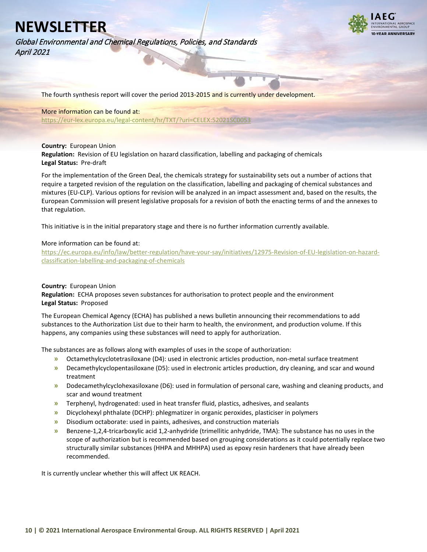**VEAR ANNIVERSARY** 

Global Environmental and Chemical Regulations, Policies, and Standards April 2021

The fourth synthesis report will cover the period 2013-2015 and is currently under development.

### More information can be found at:

<https://eur-lex.europa.eu/legal-content/hr/TXT/?uri=CELEX:52021SC0053>

### **Country:** European Union

<span id="page-9-0"></span>**Regulation:** Revision of EU legislation on hazard classification, labelling and packaging of chemicals **Legal Status:** Pre-draft

For the implementation of the Green Deal, the chemicals strategy for sustainability sets out a number of actions that require a targeted revision of the regulation on the classification, labelling and packaging of chemical substances and mixtures (EU-CLP). Various options for revision will be analyzed in an impact assessment and, based on the results, the European Commission will present legislative proposals for a revision of both the enacting terms of and the annexes to that regulation.

This initiative is in the initial preparatory stage and there is no further information currently available.

### More information can be found at:

[https://ec.europa.eu/info/law/better-regulation/have-your-say/initiatives/12975-Revision-of-EU-legislation-on-hazard](https://ec.europa.eu/info/law/better-regulation/have-your-say/initiatives/12975-Revision-of-EU-legislation-on-hazard-classification-labelling-and-packaging-of-chemicals)[classification-labelling-and-packaging-of-chemicals](https://ec.europa.eu/info/law/better-regulation/have-your-say/initiatives/12975-Revision-of-EU-legislation-on-hazard-classification-labelling-and-packaging-of-chemicals)

### **Country:** European Union

<span id="page-9-1"></span>**Regulation:** ECHA proposes seven substances for authorisation to protect people and the environment **Legal Status:** Proposed

The European Chemical Agency (ECHA) has published a news bulletin announcing their recommendations to add substances to the Authorization List due to their harm to health, the environment, and production volume. If this happens, any companies using these substances will need to apply for authorization.

The substances are as follows along with examples of uses in the scope of authorization:

- **»** Octamethylcyclotetrasiloxane (D4): used in electronic articles production, non-metal surface treatment
- **»** Decamethylcyclopentasiloxane (D5): used in electronic articles production, dry cleaning, and scar and wound treatment
- **»** Dodecamethylcyclohexasiloxane (D6): used in formulation of personal care, washing and cleaning products, and scar and wound treatment
- **»** Terphenyl, hydrogenated: used in heat transfer fluid, plastics, adhesives, and sealants
- **»** Dicyclohexyl phthalate (DCHP): phlegmatizer in organic peroxides, plasticiser in polymers
- **»** Disodium octaborate: used in paints, adhesives, and construction materials
- **»** Benzene-1,2,4-tricarboxylic acid 1,2-anhydride (trimellitic anhydride, TMA): The substance has no uses in the scope of authorization but is recommended based on grouping considerations as it could potentially replace two structurally similar substances (HHPA and MHHPA) used as epoxy resin hardeners that have already been recommended.

It is currently unclear whether this will affect UK REACH.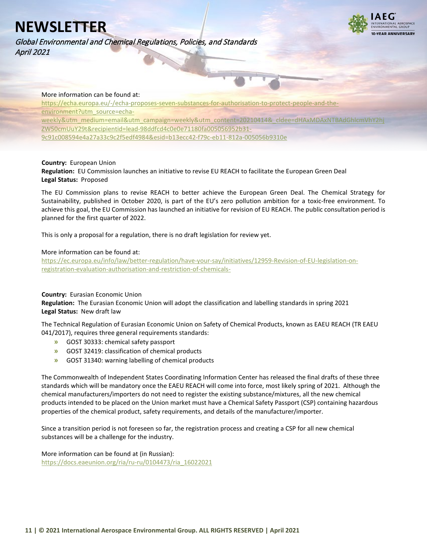Global Environmental and Chemical Regulations, Policies, and Standards April 2021



### More information can be found at:

[https://echa.europa.eu/-/echa-proposes-seven-substances-for-authorisation-to-protect-people-and-the](https://echa.europa.eu/-/echa-proposes-seven-substances-for-authorisation-to-protect-people-and-the-environment?utm_source=echa-weekly&utm_medium=email&utm_campaign=weekly&utm_content=20210414&_cldee=dHAxMDAxNTBAdGhlcmVhY2hjZW50cmUuY29t&recipientid=lead-98ddfcd4c0e0e71180fa005056952b31-9c91c008594e4a27a33c9c2f5edf4984&esid=b13ecc42-f79c-eb11-812a-005056b9310e)[environment?utm\\_source=echa](https://echa.europa.eu/-/echa-proposes-seven-substances-for-authorisation-to-protect-people-and-the-environment?utm_source=echa-weekly&utm_medium=email&utm_campaign=weekly&utm_content=20210414&_cldee=dHAxMDAxNTBAdGhlcmVhY2hjZW50cmUuY29t&recipientid=lead-98ddfcd4c0e0e71180fa005056952b31-9c91c008594e4a27a33c9c2f5edf4984&esid=b13ecc42-f79c-eb11-812a-005056b9310e)[weekly&utm\\_medium=email&utm\\_campaign=weekly&utm\\_content=20210414&\\_cldee=dHAxMDAxNTBAdGhlcmVhY2hj](https://echa.europa.eu/-/echa-proposes-seven-substances-for-authorisation-to-protect-people-and-the-environment?utm_source=echa-weekly&utm_medium=email&utm_campaign=weekly&utm_content=20210414&_cldee=dHAxMDAxNTBAdGhlcmVhY2hjZW50cmUuY29t&recipientid=lead-98ddfcd4c0e0e71180fa005056952b31-9c91c008594e4a27a33c9c2f5edf4984&esid=b13ecc42-f79c-eb11-812a-005056b9310e) [ZW50cmUuY29t&recipientid=lead-98ddfcd4c0e0e71180fa005056952b31-](https://echa.europa.eu/-/echa-proposes-seven-substances-for-authorisation-to-protect-people-and-the-environment?utm_source=echa-weekly&utm_medium=email&utm_campaign=weekly&utm_content=20210414&_cldee=dHAxMDAxNTBAdGhlcmVhY2hjZW50cmUuY29t&recipientid=lead-98ddfcd4c0e0e71180fa005056952b31-9c91c008594e4a27a33c9c2f5edf4984&esid=b13ecc42-f79c-eb11-812a-005056b9310e) [9c91c008594e4a27a33c9c2f5edf4984&esid=b13ecc42-f79c-eb11-812a-005056b9310e](https://echa.europa.eu/-/echa-proposes-seven-substances-for-authorisation-to-protect-people-and-the-environment?utm_source=echa-weekly&utm_medium=email&utm_campaign=weekly&utm_content=20210414&_cldee=dHAxMDAxNTBAdGhlcmVhY2hjZW50cmUuY29t&recipientid=lead-98ddfcd4c0e0e71180fa005056952b31-9c91c008594e4a27a33c9c2f5edf4984&esid=b13ecc42-f79c-eb11-812a-005056b9310e)

### **Country:** European Union

<span id="page-10-0"></span>**Regulation:** EU Commission launches an initiative to revise EU REACH to facilitate the European Green Deal **Legal Status:** Proposed

The EU Commission plans to revise REACH to better achieve the European Green Deal. The Chemical Strategy for Sustainability, published in October 2020, is part of the EU's zero pollution ambition for a toxic-free environment. To achieve this goal, the EU Commission has launched an initiative for revision of EU REACH. The public consultation period is planned for the first quarter of 2022.

This is only a proposal for a regulation, there is no draft legislation for review yet.

## More information can be found at:

[https://ec.europa.eu/info/law/better-regulation/have-your-say/initiatives/12959-Revision-of-EU-legislation-on](https://ec.europa.eu/info/law/better-regulation/have-your-say/initiatives/12959-Revision-of-EU-legislation-on-registration-evaluation-authorisation-and-restriction-of-chemicals-)[registration-evaluation-authorisation-and-restriction-of-chemicals-](https://ec.europa.eu/info/law/better-regulation/have-your-say/initiatives/12959-Revision-of-EU-legislation-on-registration-evaluation-authorisation-and-restriction-of-chemicals-)

### **Country:** Eurasian Economic Union

<span id="page-10-1"></span>**Regulation:** The Eurasian Economic Union will adopt the classification and labelling standards in spring 2021 **Legal Status:** New draft law

The Technical Regulation of Eurasian Economic Union on Safety of Chemical Products, known as EAEU REACH (TR EAEU 041/2017), requires three general requirements standards:

- **»** GOST 30333: chemical safety passport
- **»** GOST 32419: classification of chemical products
- **»** GOST 31340: warning labelling of chemical products

The Commonwealth of Independent States Coordinating Information Center has released the final drafts of these three standards which will be mandatory once the EAEU REACH will come into force, most likely spring of 2021. Although the chemical manufacturers/importers do not need to register the existing substance/mixtures, all the new chemical products intended to be placed on the Union market must have a Chemical Safety Passport (CSP) containing hazardous properties of the chemical product, safety requirements, and details of the manufacturer/importer.

Since a transition period is not foreseen so far, the registration process and creating a CSP for all new chemical substances will be a challenge for the industry.

More information can be found at (in Russian): [https://docs.eaeunion.org/ria/ru-ru/0104473/ria\\_16022021](https://docs.eaeunion.org/ria/ru-ru/0104473/ria_16022021)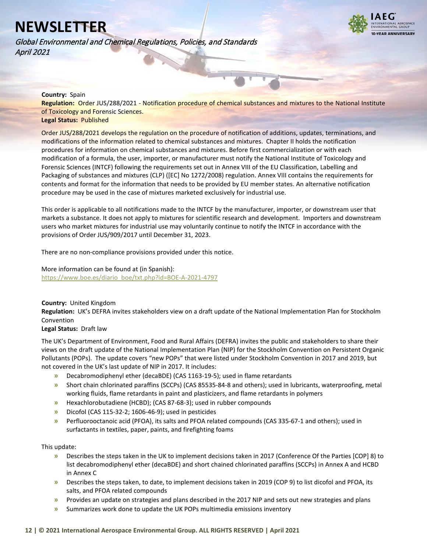Global Environmental and Chemical Regulations, Policies, and Standards April 2021



### **Country:** Spain

<span id="page-11-0"></span>**Regulation:** Order JUS/288/2021 - Notification procedure of chemical substances and mixtures to the National Institute of Toxicology and Forensic Sciences. **Legal Status:** Published

Order JUS/288/2021 develops the regulation on the procedure of notification of additions, updates, terminations, and modifications of the information related to chemical substances and mixtures. Chapter II holds the notification procedures for information on chemical substances and mixtures. Before first commercialization or with each modification of a formula, the user, importer, or manufacturer must notify the National Institute of Toxicology and Forensic Sciences (INTCF) following the requirements set out in Annex VIII of the EU Classification, Labelling and Packaging of substances and mixtures (CLP) ([EC] No 1272/2008) regulation. Annex VIII contains the requirements for contents and format for the information that needs to be provided by EU member states. An alternative notification procedure may be used in the case of mixtures marketed exclusively for industrial use.

This order is applicable to all notifications made to the INTCF by the manufacturer, importer, or downstream user that markets a substance. It does not apply to mixtures for scientific research and development. Importers and downstream users who market mixtures for industrial use may voluntarily continue to notify the INTCF in accordance with the provisions of Order JUS/909/2017 until December 31, 2023.

There are no non-compliance provisions provided under this notice.

More information can be found at (in Spanish): [https://www.boe.es/diario\\_boe/txt.php?id=BOE-A-2021-4797](https://www.boe.es/diario_boe/txt.php?id=BOE-A-2021-4797) 

**Country:** United Kingdom

<span id="page-11-1"></span>**Regulation:** UK's DEFRA invites stakeholders view on a draft update of the National Implementation Plan for Stockholm Convention

## **Legal Status:** Draft law

The UK's Department of Environment, Food and Rural Affairs (DEFRA) invites the public and stakeholders to share their views on the draft update of the National Implementation Plan (NIP) for the Stockholm Convention on Persistent Organic Pollutants (POPs). The update covers "new POPs" that were listed under Stockholm Convention in 2017 and 2019, but not covered in the UK's last update of NIP in 2017. It includes:

- **»** Decabromodiphenyl ether (decaBDE) (CAS 1163-19-5); used in flame retardants
- **»** Short chain chlorinated paraffins (SCCPs) (CAS 85535-84-8 and others); used in lubricants, waterproofing, metal working fluids, flame retardants in paint and plasticizers, and flame retardants in polymers
- **»** Hexachlorobutadiene (HCBD); (CAS 87-68-3); used in rubber compounds
- **»** Dicofol (CAS 115-32-2; 1606-46-9); used in pesticides
- **»** Perfluorooctanoic acid (PFOA), its salts and PFOA related compounds (CAS 335-67-1 and others); used in surfactants in textiles, paper, paints, and firefighting foams

This update:

- **»** Describes the steps taken in the UK to implement decisions taken in 2017 (Conference Of the Parties [COP] 8) to list decabromodiphenyl ether (decaBDE) and short chained chlorinated paraffins (SCCPs) in Annex A and HCBD in Annex C
- **»** Describes the steps taken, to date, to implement decisions taken in 2019 (COP 9) to list dicofol and PFOA, its salts, and PFOA related compounds
- **»** Provides an update on strategies and plans described in the 2017 NIP and sets out new strategies and plans
- **»** Summarizes work done to update the UK POPs multimedia emissions inventory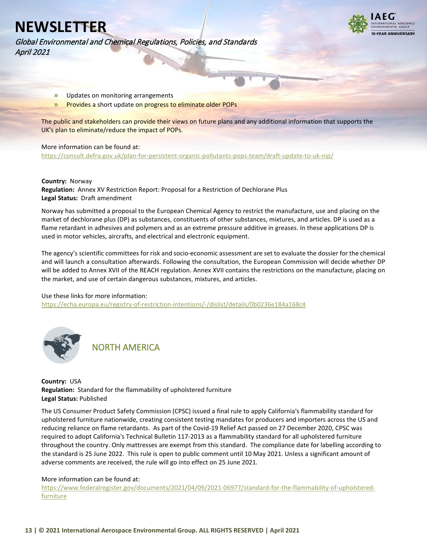

Global Environmental and Chemical Regulations, Policies, and Standards April 2021

- **»** Updates on monitoring arrangements
- **»** Provides a short update on progress to eliminate older POPs

The public and stakeholders can provide their views on future plans and any additional information that supports the UK's plan to eliminate/reduce the impact of POPs.

### More information can be found at:

<https://consult.defra.gov.uk/plan-for-persistent-organic-pollutants-pops-team/draft-update-to-uk-nip/>

#### **Country:** Norway

<span id="page-12-0"></span>**Regulation:** Annex XV Restriction Report: Proposal for a Restriction of Dechlorane Plus **Legal Status:** Draft amendment

Norway has submitted a proposal to the European Chemical Agency to restrict the manufacture, use and placing on the market of dechlorane plus (DP) as substances, constituents of other substances, mixtures, and articles. DP is used as a flame retardant in adhesives and polymers and as an extreme pressure additive in greases. In these applications DP is used in motor vehicles, aircrafts, and electrical and electronic equipment.

The agency's scientific committees for risk and socio-economic assessment are set to evaluate the dossier for the chemical and will launch a consultation afterwards. Following the consultation, the European Commission will decide whether DP will be added to Annex XVII of the REACH regulation. Annex XVII contains the restrictions on the manufacture, placing on the market, and use of certain dangerous substances, mixtures, and articles.

### Use these links for more information:

<https://echa.europa.eu/registry-of-restriction-intentions/-/dislist/details/0b0236e184a168c4>



NORTH AMERICA

## <span id="page-12-1"></span>**Country:** USA **Regulation:** Standard for the flammability of upholstered furniture **Legal Status:** Published

The US Consumer Product Safety Commission (CPSC) issued a final rule to apply California's flammability standard for upholstered furniture nationwide, creating consistent testing mandates for producers and importers across the US and reducing reliance on flame retardants. As part of the Covid-19 Relief Act passed on 27 December 2020, CPSC was required to adopt California's Technical Bulletin 117-2013 as a flammability standard for all upholstered furniture throughout the country. Only mattresses are exempt from this standard. The compliance date for labelling according to the standard is 25 June 2022. This rule is open to public comment until 10 May 2021. Unless a significant amount of adverse comments are received, the rule will go into effect on 25 June 2021.

### More information can be found at:

[https://www.federalregister.gov/documents/2021/04/09/2021-06977/standard-for-the-flammability-of-upholstered](https://www.federalregister.gov/documents/2021/04/09/2021-06977/standard-for-the-flammability-of-upholstered-furniture)[furniture](https://www.federalregister.gov/documents/2021/04/09/2021-06977/standard-for-the-flammability-of-upholstered-furniture)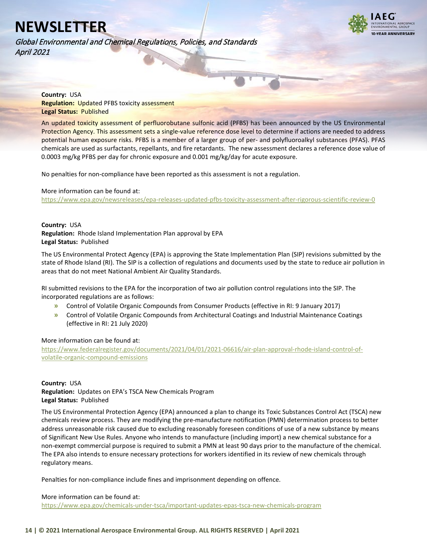**VEAR ANNIVERSARY** 

Global Environmental and Chemical Regulations, Policies, and Standards April 2021

<span id="page-13-0"></span>**Country:** USA **Regulation:** Updated PFBS toxicity assessment **Legal Status:** Published

An updated toxicity assessment of perfluorobutane sulfonic acid (PFBS) has been announced by the US Environmental Protection Agency. This assessment sets a single-value reference dose level to determine if actions are needed to address potential human exposure risks. PFBS is a member of a larger group of per- and polyfluoroalkyl substances (PFAS). PFAS chemicals are used as surfactants, repellants, and fire retardants. The new assessment declares a reference dose value of 0.0003 mg/kg PFBS per day for chronic exposure and 0.001 mg/kg/day for acute exposure.

No penalties for non-compliance have been reported as this assessment is not a regulation.

More information can be found at:

<https://www.epa.gov/newsreleases/epa-releases-updated-pfbs-toxicity-assessment-after-rigorous-scientific-review-0>

### <span id="page-13-1"></span>**Country:** USA **Regulation:** Rhode Island Implementation Plan approval by EPA **Legal Status:** Published

The US Environmental Protect Agency (EPA) is approving the State Implementation Plan (SIP) revisions submitted by the state of Rhode Island (RI). The SIP is a collection of regulations and documents used by the state to reduce air pollution in areas that do not meet National Ambient Air Quality Standards.

RI submitted revisions to the EPA for the incorporation of two air pollution control regulations into the SIP. The incorporated regulations are as follows:

- **»** Control of Volatile Organic Compounds from Consumer Products (effective in RI: 9 January 2017)
- **»** Control of Volatile Organic Compounds from Architectural Coatings and Industrial Maintenance Coatings (effective in RI: 21 July 2020)

## More information can be found at:

[https://www.federalregister.gov/documents/2021/04/01/2021-06616/air-plan-approval-rhode-island-control-of](https://www.federalregister.gov/documents/2021/04/01/2021-06616/air-plan-approval-rhode-island-control-of-volatile-organic-compound-emissions)[volatile-organic-compound-emissions](https://www.federalregister.gov/documents/2021/04/01/2021-06616/air-plan-approval-rhode-island-control-of-volatile-organic-compound-emissions)

## **Country:** USA

<span id="page-13-2"></span>**Regulation:** Updates on EPA's TSCA New Chemicals Program **Legal Status:** Published

The US Environmental Protection Agency (EPA) announced a plan to change its Toxic Substances Control Act (TSCA) new chemicals review process. They are modifying the pre-manufacture notification (PMN) determination process to better address unreasonable risk caused due to excluding reasonably foreseen conditions of use of a new substance by means of Significant New Use Rules. Anyone who intends to manufacture (including import) a new chemical substance for a non-exempt commercial purpose is required to submit a PMN at least 90 days prior to the manufacture of the chemical. The EPA also intends to ensure necessary protections for workers identified in its review of new chemicals through regulatory means.

Penalties for non-compliance include fines and imprisonment depending on offence.

### More information can be found at:

<https://www.epa.gov/chemicals-under-tsca/important-updates-epas-tsca-new-chemicals-program>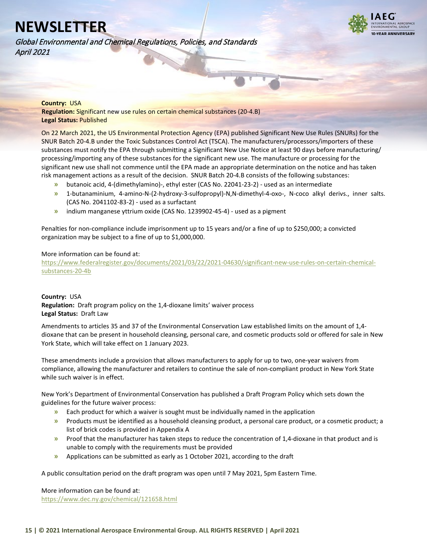**VEAR ANNIVERSARY** 

Global Environmental and Chemical Regulations, Policies, and Standards April 2021

### **Country:** USA

<span id="page-14-0"></span>**Regulation:** Significant new use rules on certain chemical substances (20-4.B) **Legal Status:** Published

On 22 March 2021, the US Environmental Protection Agency (EPA) published Significant New Use Rules (SNURs) for the SNUR Batch 20-4.B under the Toxic Substances Control Act (TSCA). The manufacturers/processors/importers of these substances must notify the EPA through submitting a Significant New Use Notice at least 90 days before manufacturing/ processing/importing any of these substances for the significant new use. The manufacture or processing for the significant new use shall not commence until the EPA made an appropriate determination on the notice and has taken risk management actions as a result of the decision. SNUR Batch 20-4.B consists of the following substances:

- **»** butanoic acid, 4-(dimethylamino)-, ethyl ester (CAS No. 22041-23-2) used as an intermediate
- **»** 1-butanaminium, 4-amino-N-(2-hydroxy-3-sulfopropyl)-N,N-dimethyl-4-oxo-, N-coco alkyl derivs., inner salts. (CAS No. 2041102-83-2) - used as a surfactant
- **»** indium manganese yttrium oxide (CAS No. 1239902-45-4) used as a pigment

Penalties for non-compliance include imprisonment up to 15 years and/or a fine of up to \$250,000; a convicted organization may be subject to a fine of up to \$1,000,000.

### More information can be found at:

[https://www.federalregister.gov/documents/2021/03/22/2021-04630/significant-new-use-rules-on-certain-chemical](https://www.federalregister.gov/documents/2021/03/22/2021-04630/significant-new-use-rules-on-certain-chemical-substances-20-4b)[substances-20-4b](https://www.federalregister.gov/documents/2021/03/22/2021-04630/significant-new-use-rules-on-certain-chemical-substances-20-4b)

### **Country:** USA

<span id="page-14-1"></span>**Regulation:** Draft program policy on the 1,4-dioxane limits' waiver process **Legal Status:** Draft Law

Amendments to articles 35 and 37 of the Environmental Conservation Law established limits on the amount of 1,4 dioxane that can be present in household cleansing, personal care, and cosmetic products sold or offered for sale in New York State, which will take effect on 1 January 2023.

These amendments include a provision that allows manufacturers to apply for up to two, one-year waivers from compliance, allowing the manufacturer and retailers to continue the sale of non-compliant product in New York State while such waiver is in effect.

New York's Department of Environmental Conservation has published a Draft Program Policy which sets down the guidelines for the future waiver process:

- **»** Each product for which a waiver is sought must be individually named in the application
- **»** Products must be identified as a household cleansing product, a personal care product, or a cosmetic product; a list of brick codes is provided in Appendix A
- **»** Proof that the manufacturer has taken steps to reduce the concentration of 1,4-dioxane in that product and is unable to comply with the requirements must be provided
- **»** Applications can be submitted as early as 1 October 2021, according to the draft

A public consultation period on the draft program was open until 7 May 2021, 5pm Eastern Time.

More information can be found at: <https://www.dec.ny.gov/chemical/121658.html>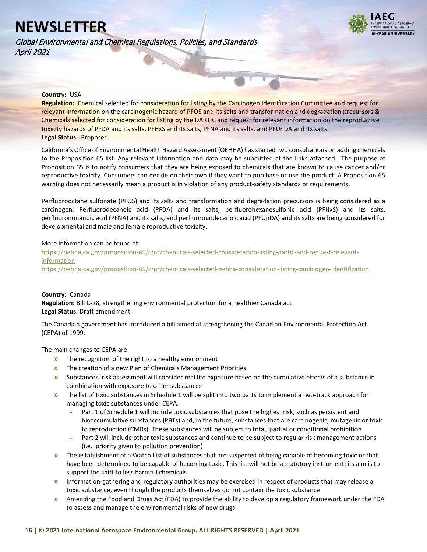Global Environmental and Chemical Regulations, Policies, and Standards April 2021



### **Country:** USA

<span id="page-15-0"></span>**Regulation:** Chemical selected for consideration for listing by the Carcinogen Identification Committee and request for relevant information on the carcinogenic hazard of PFOS and its salts and transformation and degradation precursors & Chemicals selected for consideration for listing by the DARTIC and request for relevant information on the reproductive toxicity hazards of PFDA and its salts, PFHxS and its salts, PFNA and its salts, and PFUnDA and its salts **Legal Status:** Proposed

California's Office of Environmental Health Hazard Assessment (OEHHA) has started two consultations on adding chemicals to the Proposition 65 list. Any relevant information and data may be submitted at the links attached. The purpose of Proposition 65 is to notify consumers that they are being exposed to chemicals that are known to cause cancer and/or reproductive toxicity. Consumers can decide on their own if they want to purchase or use the product. A Proposition 65 warning does not necessarily mean a product is in violation of any product-safety standards or requirements.

Perfluorooctane sulfonate (PFOS) and its salts and transformation and degradation precursors is being considered as a carcinogen. Perfluorodecanoic acid (PFDA) and its salts, perfluorohexanesulfonic acid (PFHxS) and its salts, perfluorononanoic acid (PFNA) and its salts, and perfluoroundecanoic acid (PFUnDA) and its salts are being considered for developmental and male and female reproductive toxicity.

### More information can be found at:

[https://oehha.ca.gov/proposition-65/crnr/chemicals-selected-consideration-listing-dartic-and-request-relevant](https://oehha.ca.gov/proposition-65/crnr/chemicals-selected-consideration-listing-dartic-and-request-relevant-information)[information](https://oehha.ca.gov/proposition-65/crnr/chemicals-selected-consideration-listing-dartic-and-request-relevant-information) <https://oehha.ca.gov/proposition-65/crnr/chemicals-selected-oehha-consideration-listing-carcinogen-identification>

### **Country:** Canada

<span id="page-15-1"></span>**Regulation:** Bill C-28, strengthening environmental protection for a healthier Canada act **Legal Status:** Draft amendment

The Canadian government has introduced a bill aimed at strengthening the Canadian Environmental Protection Act (CEPA) of 1999.

The main changes to CEPA are:

- **»** The recognition of the right to a healthy environment
- **»** The creation of a new Plan of Chemicals Management Priorities
- **»** Substances' risk assessment will consider real life exposure based on the cumulative effects of a substance in combination with exposure to other substances
- **»** The list of toxic substances in Schedule 1 will be split into two parts to implement a two-track approach for managing toxic substances under CEPA:
	- » Part 1 of Schedule 1 will include toxic substances that pose the highest risk, such as persistent and bioaccumulative substances (PBTs) and, in the future, substances that are carcinogenic, mutagenic or toxic to reproduction (CMRs). These substances will be subject to total, partial or conditional prohibition
	- Part 2 will include other toxic substances and continue to be subject to regular risk management actions (i.e., priority given to pollution prevention)
- **»** The establishment of a Watch List of substances that are suspected of being capable of becoming toxic or that have been determined to be capable of becoming toxic. This list will not be a statutory instrument; its aim is to support the shift to less harmful chemicals
- **»** Information-gathering and regulatory authorities may be exercised in respect of products that may release a toxic substance, even though the products themselves do not contain the toxic substance
- **»** Amending the Food and Drugs Act (FDA) to provide the ability to develop a regulatory framework under the FDA to assess and manage the environmental risks of new drugs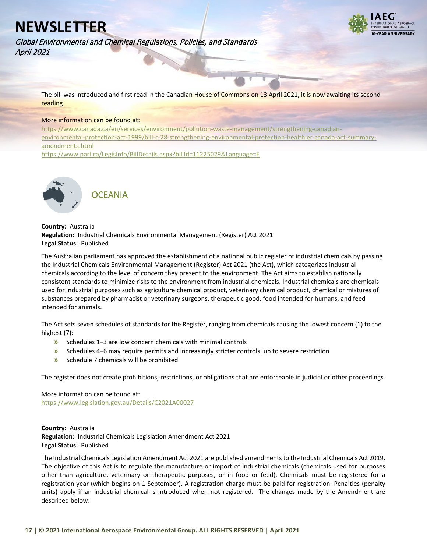

Global Environmental and Chemical Regulations, Policies, and Standards April 2021

> The bill was introduced and first read in the Canadian House of Commons on 13 April 2021, it is now awaiting its second reading.

#### More information can be found at:

[https://www.canada.ca/en/services/environment/pollution-waste-management/strengthening-canadian](https://www.canada.ca/en/services/environment/pollution-waste-management/strengthening-canadian-environmental-protection-act-1999/bill-c-28-strengthening-environmental-protection-healthier-canada-act-summary-amendments.html)[environmental-protection-act-1999/bill-c-28-strengthening-environmental-protection-healthier-canada-act-summary](https://www.canada.ca/en/services/environment/pollution-waste-management/strengthening-canadian-environmental-protection-act-1999/bill-c-28-strengthening-environmental-protection-healthier-canada-act-summary-amendments.html)[amendments.html](https://www.canada.ca/en/services/environment/pollution-waste-management/strengthening-canadian-environmental-protection-act-1999/bill-c-28-strengthening-environmental-protection-healthier-canada-act-summary-amendments.html)

<https://www.parl.ca/LegisInfo/BillDetails.aspx?billId=11225029&Language=E>



<span id="page-16-0"></span>**Country:** Australia **Regulation:** Industrial Chemicals Environmental Management (Register) Act 2021 **Legal Status:** Published

The Australian parliament has approved the establishment of a national public register of industrial chemicals by passing the Industrial Chemicals Environmental Management (Register) Act 2021 (the Act), which categorizes industrial chemicals according to the level of concern they present to the environment. The Act aims to establish nationally consistent standards to minimize risks to the environment from industrial chemicals. Industrial chemicals are chemicals used for industrial purposes such as agriculture chemical product, veterinary chemical product, chemical or mixtures of substances prepared by pharmacist or veterinary surgeons, therapeutic good, food intended for humans, and feed intended for animals.

The Act sets seven schedules of standards for the Register, ranging from chemicals causing the lowest concern (1) to the highest (7):

- **»** Schedules 1–3 are low concern chemicals with minimal controls
- **»** Schedules 4–6 may require permits and increasingly stricter controls, up to severe restriction
- **»** Schedule 7 chemicals will be prohibited

The register does not create prohibitions, restrictions, or obligations that are enforceable in judicial or other proceedings.

More information can be found at: <https://www.legislation.gov.au/Details/C2021A00027>

<span id="page-16-1"></span>**Country:** Australia **Regulation:** Industrial Chemicals Legislation Amendment Act 2021 **Legal Status:** Published

The Industrial Chemicals Legislation Amendment Act 2021 are published amendments to the Industrial Chemicals Act 2019. The objective of this Act is to regulate the manufacture or import of industrial chemicals (chemicals used for purposes other than agriculture, veterinary or therapeutic purposes, or in food or feed). Chemicals must be registered for a registration year (which begins on 1 September). A registration charge must be paid for registration. Penalties (penalty units) apply if an industrial chemical is introduced when not registered. The changes made by the Amendment are described below: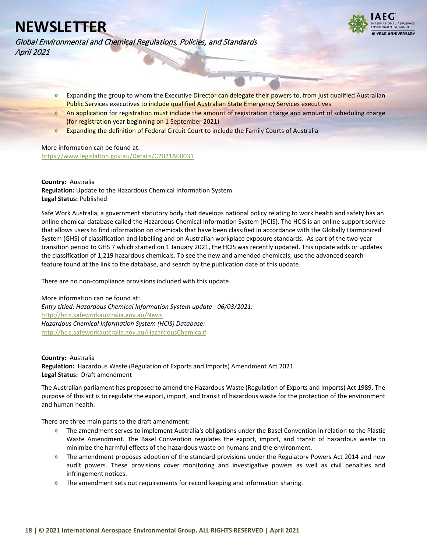

Global Environmental and Chemical Regulations, Policies, and Standards April 2021

- **»** Expanding the group to whom the Executive Director can delegate their powers to, from just qualified Australian Public Services executives to include qualified Australian State Emergency Services executives
- **»** An application for registration must include the amount of registration charge and amount of scheduling charge (for registration year beginning on 1 September 2021)
- **»** Expanding the definition of Federal Circuit Court to include the Family Courts of Australia

## More information can be found at:

<https://www.legislation.gov.au/Details/C2021A00031>

### **Country:** Australia

<span id="page-17-0"></span>**Regulation:** Update to the Hazardous Chemical Information System **Legal Status:** Published

Safe Work Australia, a government statutory body that develops national policy relating to work health and safety has an online chemical database called the Hazardous Chemical Information System (HCIS). The HCIS is an online support service that allows users to find information on chemicals that have been classified in accordance with the Globally Harmonized System (GHS) of classification and labelling and on Australian workplace exposure standards. As part of the two-year transition period to GHS 7 which started on 1 January 2021, the HCIS was recently updated. This update adds or updates the classification of 1,219 hazardous chemicals. To see the new and amended chemicals, use the advanced search feature found at the link to the database, and search by the publication date of this update.

There are no non-compliance provisions included with this update.

More information can be found at: *Entry titled: Hazardous Chemical Information System update - 06/03/2021:* <http://hcis.safeworkaustralia.gov.au/News> *Hazardous Chemical Information System (HCIS) Database:* [http://hcis.safeworkaustralia.gov.au/HazardousChemical#](http://hcis.safeworkaustralia.gov.au/HazardousChemical)

<span id="page-17-1"></span>**Country:** Australia **Regulation:** Hazardous Waste (Regulation of Exports and Imports) Amendment Act 2021 **Legal Status:** Draft amendment

The Australian parliament has proposed to amend the Hazardous Waste (Regulation of Exports and Imports) Act 1989. The purpose of this act is to regulate the export, import, and transit of hazardous waste for the protection of the environment and human health.

There are three main parts to the draft amendment:

- **»** The amendment serves to implement Australia's obligations under the Basel Convention in relation to the Plastic Waste Amendment. The Basel Convention regulates the export, import, and transit of hazardous waste to minimize the harmful effects of the hazardous waste on humans and the environment.
- **»** The amendment proposes adoption of the standard provisions under the Regulatory Powers Act 2014 and new audit powers. These provisions cover monitoring and investigative powers as well as civil penalties and infringement notices.
- **»** The amendment sets out requirements for record keeping and information sharing.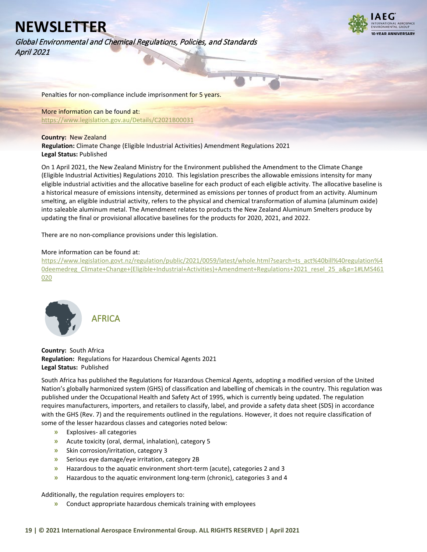Global Environmental and Chemical Regulations, Policies, and Standards April 2021



Penalties for non-compliance include imprisonment for 5 years.

More information can be found at: <https://www.legislation.gov.au/Details/C2021B00031>

### **Country:** New Zealand

<span id="page-18-0"></span>**Regulation:** Climate Change (Eligible Industrial Activities) Amendment Regulations 2021 **Legal Status:** Published

On 1 April 2021, the New Zealand Ministry for the Environment published the Amendment to the Climate Change (Eligible Industrial Activities) Regulations 2010. This legislation prescribes the allowable emissions intensity for many eligible industrial activities and the allocative baseline for each product of each eligible activity. The allocative baseline is a historical measure of emissions intensity, determined as emissions per tonnes of product from an activity. Aluminum smelting, an eligible industrial activity, refers to the physical and chemical transformation of alumina (aluminum oxide) into saleable aluminum metal. The Amendment relates to products the New Zealand Aluminum Smelters produce by updating the final or provisional allocative baselines for the products for 2020, 2021, and 2022.

There are no non-compliance provisions under this legislation.

### More information can be found at:

[https://www.legislation.govt.nz/regulation/public/2021/0059/latest/whole.html?search=ts\\_act%40bill%40regulation%4](https://www.legislation.govt.nz/regulation/public/2021/0059/latest/whole.html?search=ts_act%40bill%40regulation%40deemedreg_Climate+Change+(Eligible+Industrial+Activities)+Amendment+Regulations+2021_resel_25_a&p=1#LMS461020) [0deemedreg\\_Climate+Change+\(Eligible+Industrial+Activities\)+Amendment+Regulations+2021\\_resel\\_25\\_a&p=1#LMS461](https://www.legislation.govt.nz/regulation/public/2021/0059/latest/whole.html?search=ts_act%40bill%40regulation%40deemedreg_Climate+Change+(Eligible+Industrial+Activities)+Amendment+Regulations+2021_resel_25_a&p=1#LMS461020) [020](https://www.legislation.govt.nz/regulation/public/2021/0059/latest/whole.html?search=ts_act%40bill%40regulation%40deemedreg_Climate+Change+(Eligible+Industrial+Activities)+Amendment+Regulations+2021_resel_25_a&p=1#LMS461020)



<span id="page-18-1"></span>**Country:** South Africa **Regulation:** Regulations for Hazardous Chemical Agents 2021 **Legal Status:** Published

South Africa has published the Regulations for Hazardous Chemical Agents, adopting a modified version of the United Nation's globally harmonized system (GHS) of classification and labelling of chemicals in the country. This regulation was published under the Occupational Health and Safety Act of 1995, which is currently being updated. The regulation requires manufacturers, importers, and retailers to classify, label, and provide a safety data sheet (SDS) in accordance with the GHS (Rev. 7) and the requirements outlined in the regulations. However, it does not require classification of some of the lesser hazardous classes and categories noted below:

- **»** Explosives- all categories
- **»** Acute toxicity (oral, dermal, inhalation), category 5
- **»** Skin corrosion/irritation, category 3
- **»** Serious eye damage/eye irritation, category 2B
- **»** Hazardous to the aquatic environment short-term (acute), categories 2 and 3
- **»** Hazardous to the aquatic environment long-term (chronic), categories 3 and 4

Additionally, the regulation requires employers to:

**»** Conduct appropriate hazardous chemicals training with employees